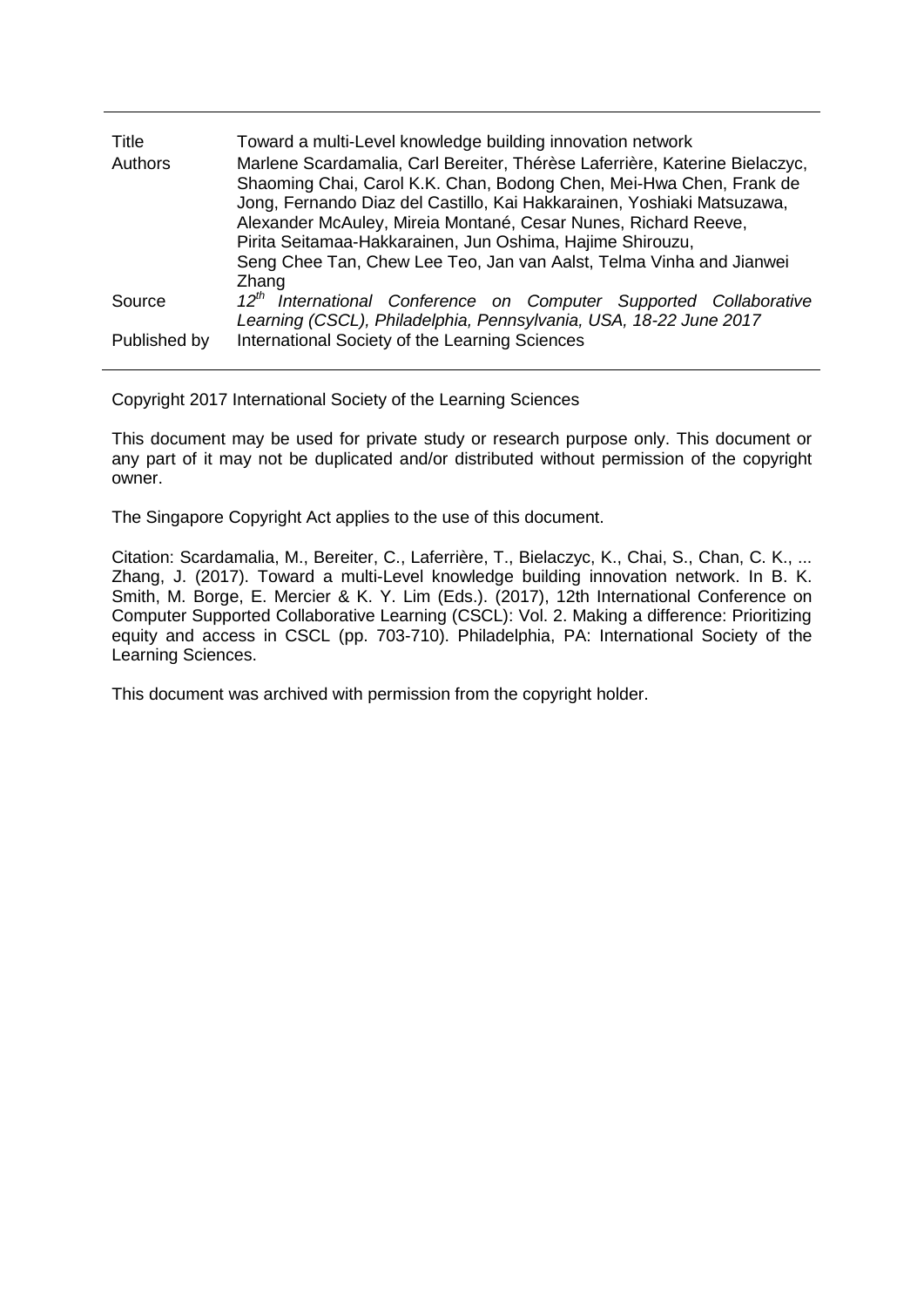| Title<br>Authors | Toward a multi-Level knowledge building innovation network<br>Marlene Scardamalia, Carl Bereiter, Thérèse Laferrière, Katerine Bielaczyc,<br>Shaoming Chai, Carol K.K. Chan, Bodong Chen, Mei-Hwa Chen, Frank de<br>Jong, Fernando Diaz del Castillo, Kai Hakkarainen, Yoshiaki Matsuzawa,<br>Alexander McAuley, Mireia Montané, Cesar Nunes, Richard Reeve,<br>Pirita Seitamaa-Hakkarainen, Jun Oshima, Hajime Shirouzu,<br>Seng Chee Tan, Chew Lee Teo, Jan van Aalst, Telma Vinha and Jianwei<br>Zhang |
|------------------|-----------------------------------------------------------------------------------------------------------------------------------------------------------------------------------------------------------------------------------------------------------------------------------------------------------------------------------------------------------------------------------------------------------------------------------------------------------------------------------------------------------|
| Source           | $12^{th}$<br>International Conference on Computer Supported Collaborative<br>Learning (CSCL), Philadelphia, Pennsylvania, USA, 18-22 June 2017                                                                                                                                                                                                                                                                                                                                                            |
| Published by     | International Society of the Learning Sciences                                                                                                                                                                                                                                                                                                                                                                                                                                                            |

Copyright 2017 International Society of the Learning Sciences

This document may be used for private study or research purpose only. This document or any part of it may not be duplicated and/or distributed without permission of the copyright owner.

The Singapore Copyright Act applies to the use of this document.

Citation: Scardamalia, M., Bereiter, C., Laferrière, T., Bielaczyc, K., Chai, S., Chan, C. K., ... Zhang, J. (2017). Toward a multi-Level knowledge building innovation network. In B. K. Smith, M. Borge, E. Mercier & K. Y. Lim (Eds.). (2017), 12th International Conference on Computer Supported Collaborative Learning (CSCL): Vol. 2. Making a difference: Prioritizing equity and access in CSCL (pp. 703-710). Philadelphia, PA: International Society of the Learning Sciences.

This document was archived with permission from the copyright holder.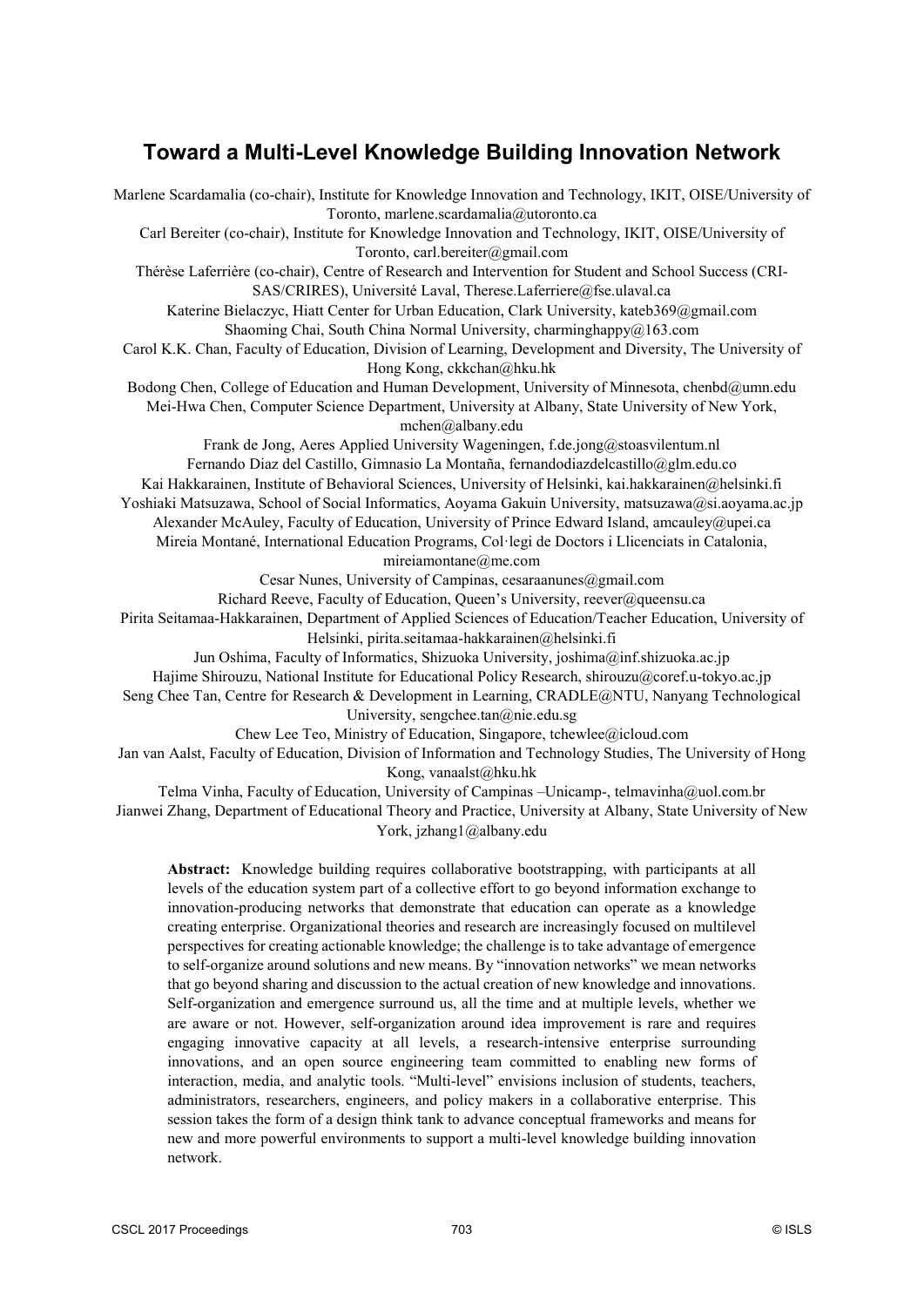# **Toward a Multi-Level Knowledge Building Innovation Network**

Marlene Scardamalia (co-chair), Institute for Knowledge Innovation and Technology, IKIT, OISE/University of Toronto, marlene.scardamalia@utoronto.ca Carl Bereiter (co-chair), Institute for Knowledge Innovation and Technology, IKIT, OISE/University of Toronto, carl.bereiter@gmail.com Thérèse Laferrière (co-chair), Centre of Research and Intervention for Student and School Success (CRI-SAS/CRIRES), Université Laval, Therese.Laferriere@fse.ulaval.ca Katerine Bielaczyc, Hiatt Center for Urban Education, Clark University, kateb369@gmail.com Shaoming Chai, South China Normal University, charminghappy@163.com Carol K.K. Chan, Faculty of Education, Division of Learning, Development and Diversity, The University of Hong Kong, ckkchan@hku.hk Bodong Chen, College of Education and Human Development, University of Minnesota, chenbd@umn.edu Mei-Hwa Chen, Computer Science Department, University at Albany, State University of New York, mchen@albany.edu Frank de Jong, Aeres Applied University Wageningen, f.de.jong@stoasvilentum.nl Fernando Diaz del Castillo, Gimnasio La Montaña, fernandodiazdelcastillo@glm.edu.co Kai Hakkarainen, Institute of Behavioral Sciences, University of Helsinki, kai.hakkarainen@helsinki.fi Yoshiaki Matsuzawa, School of Social Informatics, Aoyama Gakuin University, matsuzawa@si.aoyama.ac.jp Alexander McAuley, Faculty of Education, University of Prince Edward Island, amcauley@upei.ca Mireia Montané, International Education Programs, Col·legi de Doctors i Llicenciats in Catalonia, mireiamontane@me.com Cesar Nunes, University of Campinas, cesaraanunes@gmail.com Richard Reeve, Faculty of Education, Queen's University, reever@queensu.ca Pirita Seitamaa-Hakkarainen, Department of Applied Sciences of Education/Teacher Education, University of Helsinki, pirita.seitamaa-hakkarainen@helsinki.fi Jun Oshima, Faculty of Informatics, Shizuoka University, joshima@inf.shizuoka.ac.jp Hajime Shirouzu, National Institute for Educational Policy Research, shirouzu@coref.u-tokyo.ac.jp Seng Chee Tan, Centre for Research & Development in Learning, CRADLE@NTU, Nanyang Technological University, sengchee.tan@nie.edu.sg Chew Lee Teo, Ministry of Education, Singapore, tchewlee@icloud.com Jan van Aalst, Faculty of Education, Division of Information and Technology Studies, The University of Hong Kong, vanaalst@hku.hk Telma Vinha, Faculty of Education, University of Campinas –Unicamp-, telmavinha@uol.com.br Jianwei Zhang, Department of Educational Theory and Practice, University at Albany, State University of New York, jzhang1@albany.edu **Abstract:** Knowledge building requires collaborative bootstrapping, with participants at all levels of the education system part of a collective effort to go beyond information exchange to

innovation-producing networks that demonstrate that education can operate as a knowledge creating enterprise. Organizational theories and research are increasingly focused on multilevel perspectives for creating actionable knowledge; the challenge is to take advantage of emergence to self-organize around solutions and new means. By "innovation networks" we mean networks that go beyond sharing and discussion to the actual creation of new knowledge and innovations. Self-organization and emergence surround us, all the time and at multiple levels, whether we are aware or not. However, self-organization around idea improvement is rare and requires engaging innovative capacity at all levels, a research-intensive enterprise surrounding innovations, and an open source engineering team committed to enabling new forms of interaction, media, and analytic tools. "Multi-level" envisions inclusion of students, teachers, administrators, researchers, engineers, and policy makers in a collaborative enterprise. This session takes the form of a design think tank to advance conceptual frameworks and means for new and more powerful environments to support a multi-level knowledge building innovation network.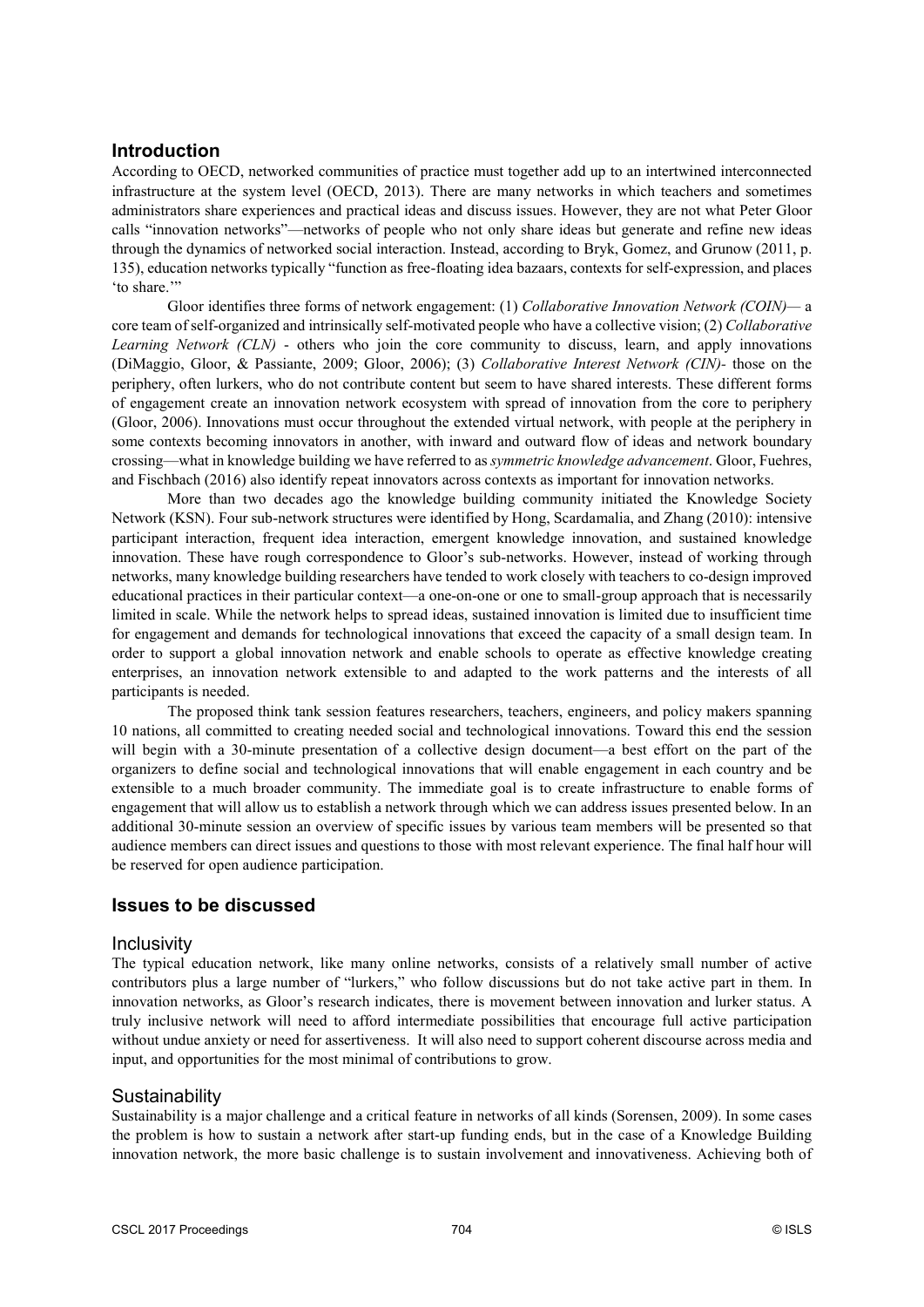#### **Introduction**

According to OECD, networked communities of practice must together add up to an intertwined interconnected infrastructure at the system level (OECD, 2013). There are many networks in which teachers and sometimes administrators share experiences and practical ideas and discuss issues. However, they are not what Peter Gloor calls "innovation networks"—networks of people who not only share ideas but generate and refine new ideas through the dynamics of networked social interaction. Instead, according to Bryk, Gomez, and Grunow (2011, p. 135), education networks typically "function as free-floating idea bazaars, contexts for self-expression, and places 'to share."

Gloor identifies three forms of network engagement: (1) *Collaborative Innovation Network (COIN)—* a core team of self-organized and intrinsically self-motivated people who have a collective vision; (2) *Collaborative Learning Network (CLN)* - others who join the core community to discuss, learn, and apply innovations (DiMaggio, Gloor, & Passiante, 2009; Gloor, 2006); (3) *Collaborative Interest Network (CIN)-* those on the periphery, often lurkers, who do not contribute content but seem to have shared interests. These different forms of engagement create an innovation network ecosystem with spread of innovation from the core to periphery (Gloor, 2006). Innovations must occur throughout the extended virtual network, with people at the periphery in some contexts becoming innovators in another, with inward and outward flow of ideas and network boundary crossing—what in knowledge building we have referred to as *symmetric knowledge advancement*. Gloor, Fuehres, and Fischbach (2016) also identify repeat innovators across contexts as important for innovation networks.

More than two decades ago the knowledge building community initiated the Knowledge Society Network (KSN). Four sub-network structures were identified by Hong, Scardamalia, and Zhang (2010): intensive participant interaction, frequent idea interaction, emergent knowledge innovation, and sustained knowledge innovation. These have rough correspondence to Gloor's sub-networks. However, instead of working through networks, many knowledge building researchers have tended to work closely with teachers to co-design improved educational practices in their particular context—a one-on-one or one to small-group approach that is necessarily limited in scale. While the network helps to spread ideas, sustained innovation is limited due to insufficient time for engagement and demands for technological innovations that exceed the capacity of a small design team. In order to support a global innovation network and enable schools to operate as effective knowledge creating enterprises, an innovation network extensible to and adapted to the work patterns and the interests of all participants is needed.

The proposed think tank session features researchers, teachers, engineers, and policy makers spanning 10 nations, all committed to creating needed social and technological innovations. Toward this end the session will begin with a 30-minute presentation of a collective design document—a best effort on the part of the organizers to define social and technological innovations that will enable engagement in each country and be extensible to a much broader community. The immediate goal is to create infrastructure to enable forms of engagement that will allow us to establish a network through which we can address issues presented below. In an additional 30-minute session an overview of specific issues by various team members will be presented so that audience members can direct issues and questions to those with most relevant experience. The final half hour will be reserved for open audience participation.

#### **Issues to be discussed**

#### **Inclusivity**

The typical education network, like many online networks, consists of a relatively small number of active contributors plus a large number of "lurkers," who follow discussions but do not take active part in them. In innovation networks, as Gloor's research indicates, there is movement between innovation and lurker status. A truly inclusive network will need to afford intermediate possibilities that encourage full active participation without undue anxiety or need for assertiveness. It will also need to support coherent discourse across media and input, and opportunities for the most minimal of contributions to grow.

#### Sustainability

Sustainability is a major challenge and a critical feature in networks of all kinds (Sorensen, 2009). In some cases the problem is how to sustain a network after start-up funding ends, but in the case of a Knowledge Building innovation network, the more basic challenge is to sustain involvement and innovativeness. Achieving both of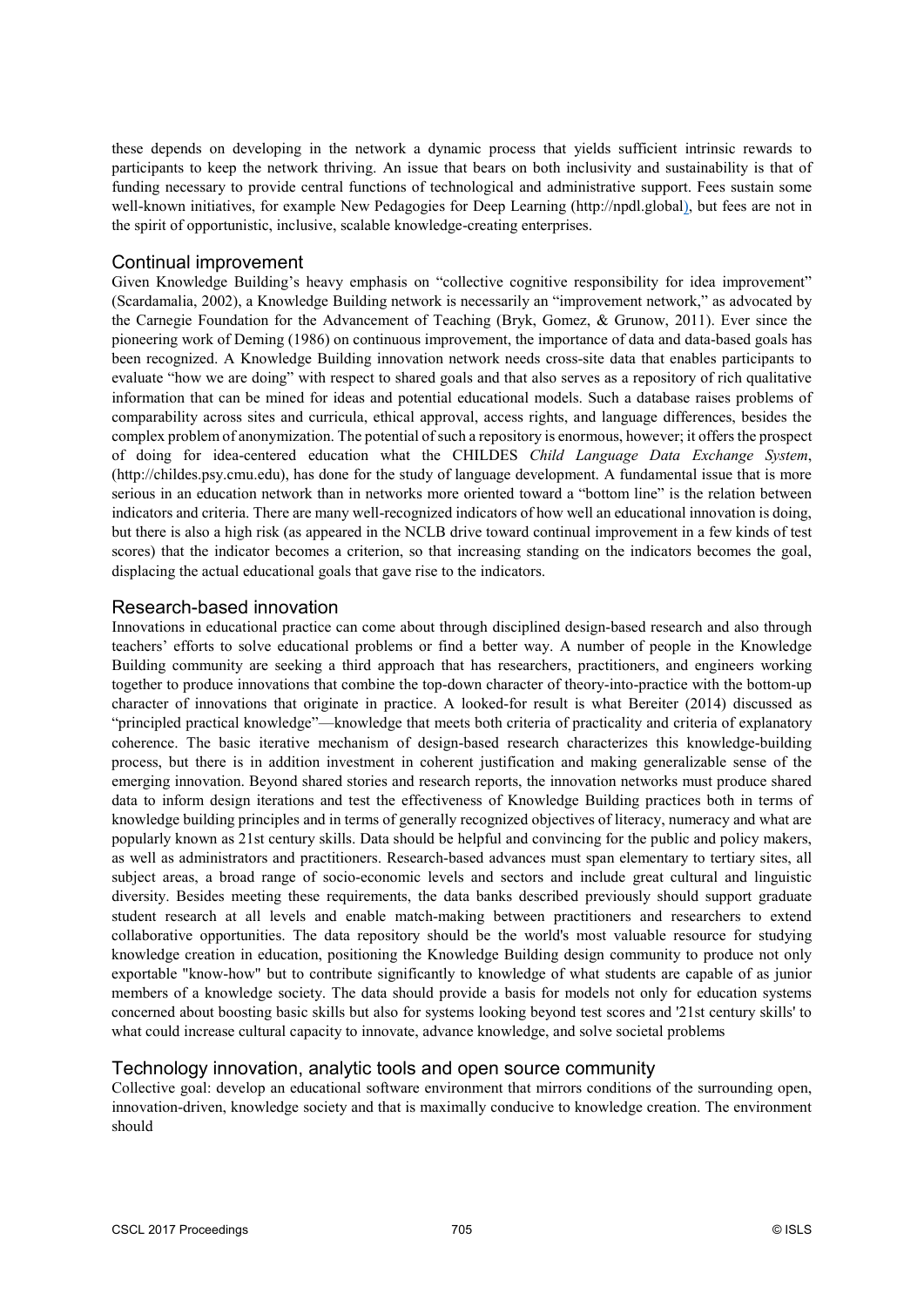these depends on developing in the network a dynamic process that yields sufficient intrinsic rewards to participants to keep the network thriving. An issue that bears on both inclusivity and sustainability is that of funding necessary to provide central functions of technological and administrative support. Fees sustain some well-known initiatives, for example New Pedagogies for Deep Learning (http://npdl.global), but fees are not in the spirit of opportunistic, inclusive, scalable knowledge-creating enterprises.

#### Continual improvement

Given Knowledge Building's heavy emphasis on "collective cognitive responsibility for idea improvement" (Scardamalia, 2002), a Knowledge Building network is necessarily an "improvement network," as advocated by the Carnegie Foundation for the Advancement of Teaching (Bryk, Gomez, & Grunow, 2011). Ever since the pioneering work of Deming (1986) on continuous improvement, the importance of data and data-based goals has been recognized. A Knowledge Building innovation network needs cross-site data that enables participants to evaluate "how we are doing" with respect to shared goals and that also serves as a repository of rich qualitative information that can be mined for ideas and potential educational models. Such a database raises problems of comparability across sites and curricula, ethical approval, access rights, and language differences, besides the complex problem of anonymization. The potential of such a repository is enormous, however; it offers the prospect of doing for idea-centered education what the CHILDES *Child Language Data Exchange System*, (http://childes.psy.cmu.edu), has done for the study of language development. A fundamental issue that is more serious in an education network than in networks more oriented toward a "bottom line" is the relation between indicators and criteria. There are many well-recognized indicators of how well an educational innovation is doing, but there is also a high risk (as appeared in the NCLB drive toward continual improvement in a few kinds of test scores) that the indicator becomes a criterion, so that increasing standing on the indicators becomes the goal, displacing the actual educational goals that gave rise to the indicators.

#### Research-based innovation

Innovations in educational practice can come about through disciplined design-based research and also through teachers' efforts to solve educational problems or find a better way. A number of people in the Knowledge Building community are seeking a third approach that has researchers, practitioners, and engineers working together to produce innovations that combine the top-down character of theory-into-practice with the bottom-up character of innovations that originate in practice. A looked-for result is what Bereiter (2014) discussed as "principled practical knowledge"—knowledge that meets both criteria of practicality and criteria of explanatory coherence. The basic iterative mechanism of design-based research characterizes this knowledge-building process, but there is in addition investment in coherent justification and making generalizable sense of the emerging innovation. Beyond shared stories and research reports, the innovation networks must produce shared data to inform design iterations and test the effectiveness of Knowledge Building practices both in terms of knowledge building principles and in terms of generally recognized objectives of literacy, numeracy and what are popularly known as 21st century skills. Data should be helpful and convincing for the public and policy makers, as well as administrators and practitioners. Research-based advances must span elementary to tertiary sites, all subject areas, a broad range of socio-economic levels and sectors and include great cultural and linguistic diversity. Besides meeting these requirements, the data banks described previously should support graduate student research at all levels and enable match-making between practitioners and researchers to extend collaborative opportunities. The data repository should be the world's most valuable resource for studying knowledge creation in education, positioning the Knowledge Building design community to produce not only exportable "know-how" but to contribute significantly to knowledge of what students are capable of as junior members of a knowledge society. The data should provide a basis for models not only for education systems concerned about boosting basic skills but also for systems looking beyond test scores and '21st century skills' to what could increase cultural capacity to innovate, advance knowledge, and solve societal problems

#### Technology innovation, analytic tools and open source community

Collective goal: develop an educational software environment that mirrors conditions of the surrounding open, innovation-driven, knowledge society and that is maximally conducive to knowledge creation. The environment should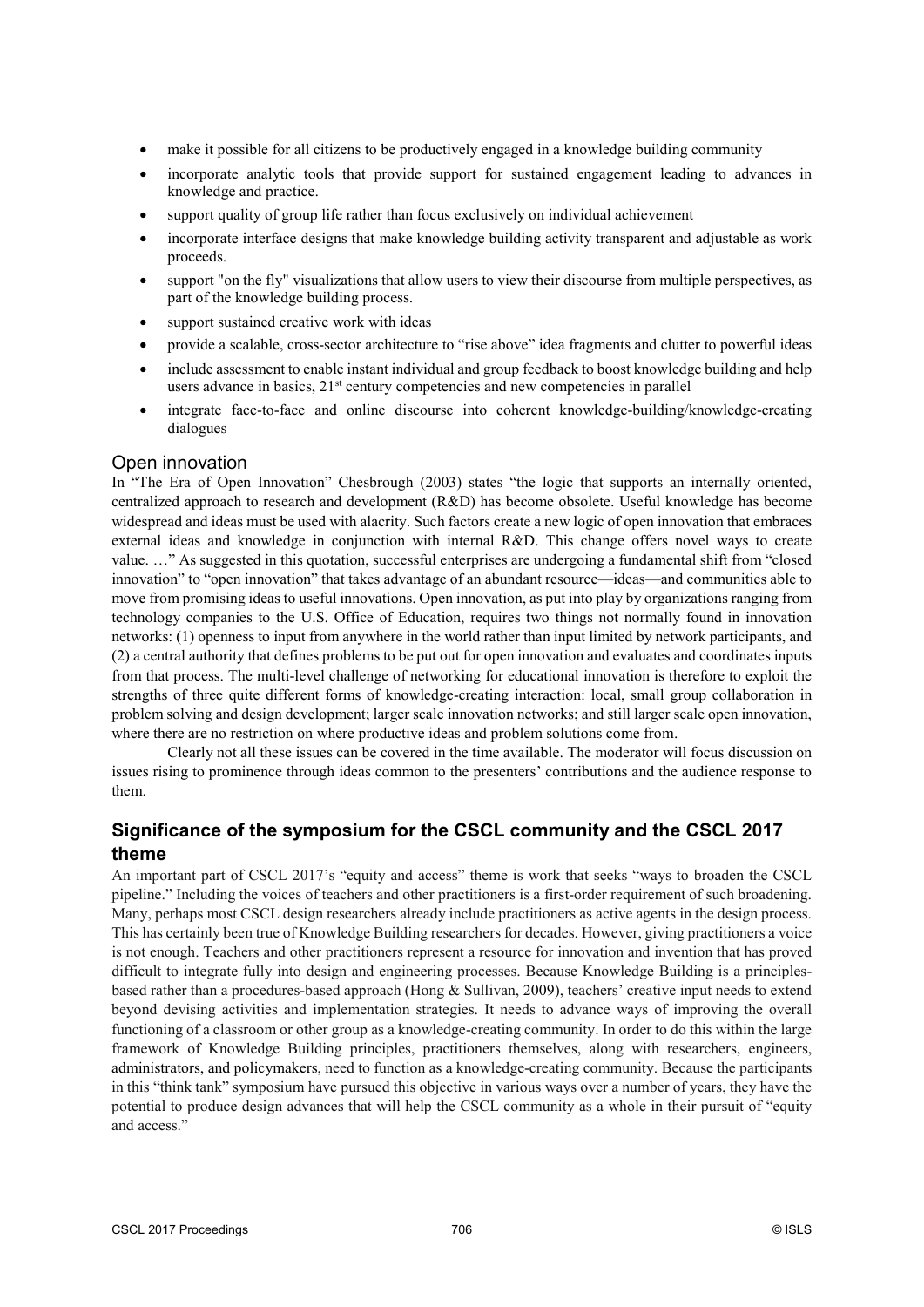- make it possible for all citizens to be productively engaged in a knowledge building community
- incorporate analytic tools that provide support for sustained engagement leading to advances in knowledge and practice.
- support quality of group life rather than focus exclusively on individual achievement
- incorporate interface designs that make knowledge building activity transparent and adjustable as work proceeds.
- support "on the fly" visualizations that allow users to view their discourse from multiple perspectives, as part of the knowledge building process.
- support sustained creative work with ideas
- provide a scalable, cross-sector architecture to "rise above" idea fragments and clutter to powerful ideas
- include assessment to enable instant individual and group feedback to boost knowledge building and help users advance in basics, 21<sup>st</sup> century competencies and new competencies in parallel
- integrate face-to-face and online discourse into coherent knowledge-building/knowledge-creating dialogues

#### Open innovation

In "The Era of Open Innovation" Chesbrough (2003) states "the logic that supports an internally oriented, centralized approach to research and development (R&D) has become obsolete. Useful knowledge has become widespread and ideas must be used with alacrity. Such factors create a new logic of open innovation that embraces external ideas and knowledge in conjunction with internal R&D. This change offers novel ways to create value. …" As suggested in this quotation, successful enterprises are undergoing a fundamental shift from "closed innovation" to "open innovation" that takes advantage of an abundant resource—ideas—and communities able to move from promising ideas to useful innovations. Open innovation, as put into play by organizations ranging from technology companies to the U.S. Office of Education, requires two things not normally found in innovation networks: (1) openness to input from anywhere in the world rather than input limited by network participants, and (2) a central authority that defines problems to be put out for open innovation and evaluates and coordinates inputs from that process. The multi-level challenge of networking for educational innovation is therefore to exploit the strengths of three quite different forms of knowledge-creating interaction: local, small group collaboration in problem solving and design development; larger scale innovation networks; and still larger scale open innovation, where there are no restriction on where productive ideas and problem solutions come from.

Clearly not all these issues can be covered in the time available. The moderator will focus discussion on issues rising to prominence through ideas common to the presenters' contributions and the audience response to them.

# **Significance of the symposium for the CSCL community and the CSCL 2017 theme**

An important part of CSCL 2017's "equity and access" theme is work that seeks "ways to broaden the CSCL pipeline." Including the voices of teachers and other practitioners is a first-order requirement of such broadening. Many, perhaps most CSCL design researchers already include practitioners as active agents in the design process. This has certainly been true of Knowledge Building researchers for decades. However, giving practitioners a voice is not enough. Teachers and other practitioners represent a resource for innovation and invention that has proved difficult to integrate fully into design and engineering processes. Because Knowledge Building is a principlesbased rather than a procedures-based approach (Hong & Sullivan, 2009), teachers' creative input needs to extend beyond devising activities and implementation strategies. It needs to advance ways of improving the overall functioning of a classroom or other group as a knowledge-creating community. In order to do this within the large framework of Knowledge Building principles, practitioners themselves, along with researchers, engineers, administrators, and policymakers, need to function as a knowledge-creating community. Because the participants in this "think tank" symposium have pursued this objective in various ways over a number of years, they have the potential to produce design advances that will help the CSCL community as a whole in their pursuit of "equity and access."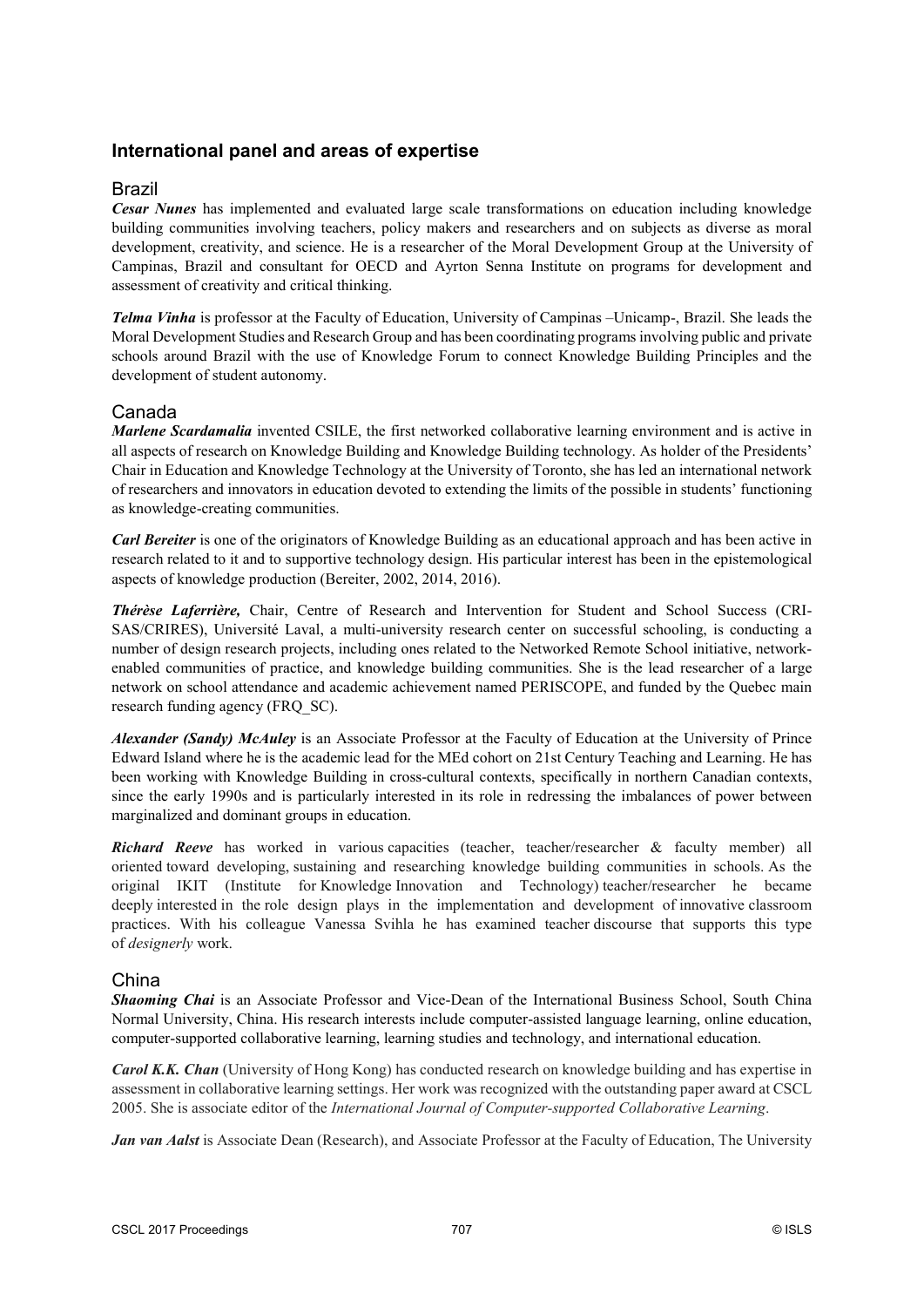# **International panel and areas of expertise**

# Brazil

*Cesar Nunes* has implemented and evaluated large scale transformations on education including knowledge building communities involving teachers, policy makers and researchers and on subjects as diverse as moral development, creativity, and science. He is a researcher of the Moral Development Group at the University of Campinas, Brazil and consultant for OECD and Ayrton Senna Institute on programs for development and assessment of creativity and critical thinking.

*Telma Vinha* is professor at the Faculty of Education, University of Campinas –Unicamp-, Brazil. She leads the Moral Development Studies and Research Group and has been coordinating programs involving public and private schools around Brazil with the use of Knowledge Forum to connect Knowledge Building Principles and the development of student autonomy.

#### Canada

*Marlene Scardamalia* invented CSILE, the first networked collaborative learning environment and is active in all aspects of research on Knowledge Building and Knowledge Building technology. As holder of the Presidents' Chair in Education and Knowledge Technology at the University of Toronto, she has led an international network of researchers and innovators in education devoted to extending the limits of the possible in students' functioning as knowledge-creating communities.

*Carl Bereiter* is one of the originators of Knowledge Building as an educational approach and has been active in research related to it and to supportive technology design. His particular interest has been in the epistemological aspects of knowledge production (Bereiter, 2002, 2014, 2016).

*Thérèse Laferrière,* Chair, Centre of Research and Intervention for Student and School Success (CRI-SAS/CRIRES), Université Laval, a multi-university research center on successful schooling, is conducting a number of design research projects, including ones related to the Networked Remote School initiative, networkenabled communities of practice, and knowledge building communities. She is the lead researcher of a large network on school attendance and academic achievement named PERISCOPE, and funded by the Quebec main research funding agency (FRQ\_SC).

*Alexander (Sandy) McAuley* is an Associate Professor at the Faculty of Education at the University of Prince Edward Island where he is the academic lead for the MEd cohort on 21st Century Teaching and Learning. He has been working with Knowledge Building in cross-cultural contexts, specifically in northern Canadian contexts, since the early 1990s and is particularly interested in its role in redressing the imbalances of power between marginalized and dominant groups in education.

*Richard Reeve* has worked in various capacities (teacher, teacher/researcher & faculty member) all oriented toward developing, sustaining and researching knowledge building communities in schools. As the original IKIT (Institute for Knowledge Innovation and Technology) teacher/researcher he became deeply interested in the role design plays in the implementation and development of innovative classroom practices. With his colleague Vanessa Svihla he has examined teacher discourse that supports this type of *designerly* work.

#### China

*Shaoming Chai* is an Associate Professor and Vice-Dean of the International Business School, South China Normal University, China. His research interests include computer-assisted language learning, online education, computer-supported collaborative learning, learning studies and technology, and international education.

*Carol K.K. Chan* (University of Hong Kong) has conducted research on knowledge building and has expertise in assessment in collaborative learning settings. Her work was recognized with the outstanding paper award at CSCL 2005. She is associate editor of the *International Journal of Computer-supported Collaborative Learning*.

*Jan van Aalst* is Associate Dean (Research), and Associate Professor at the Faculty of Education, The University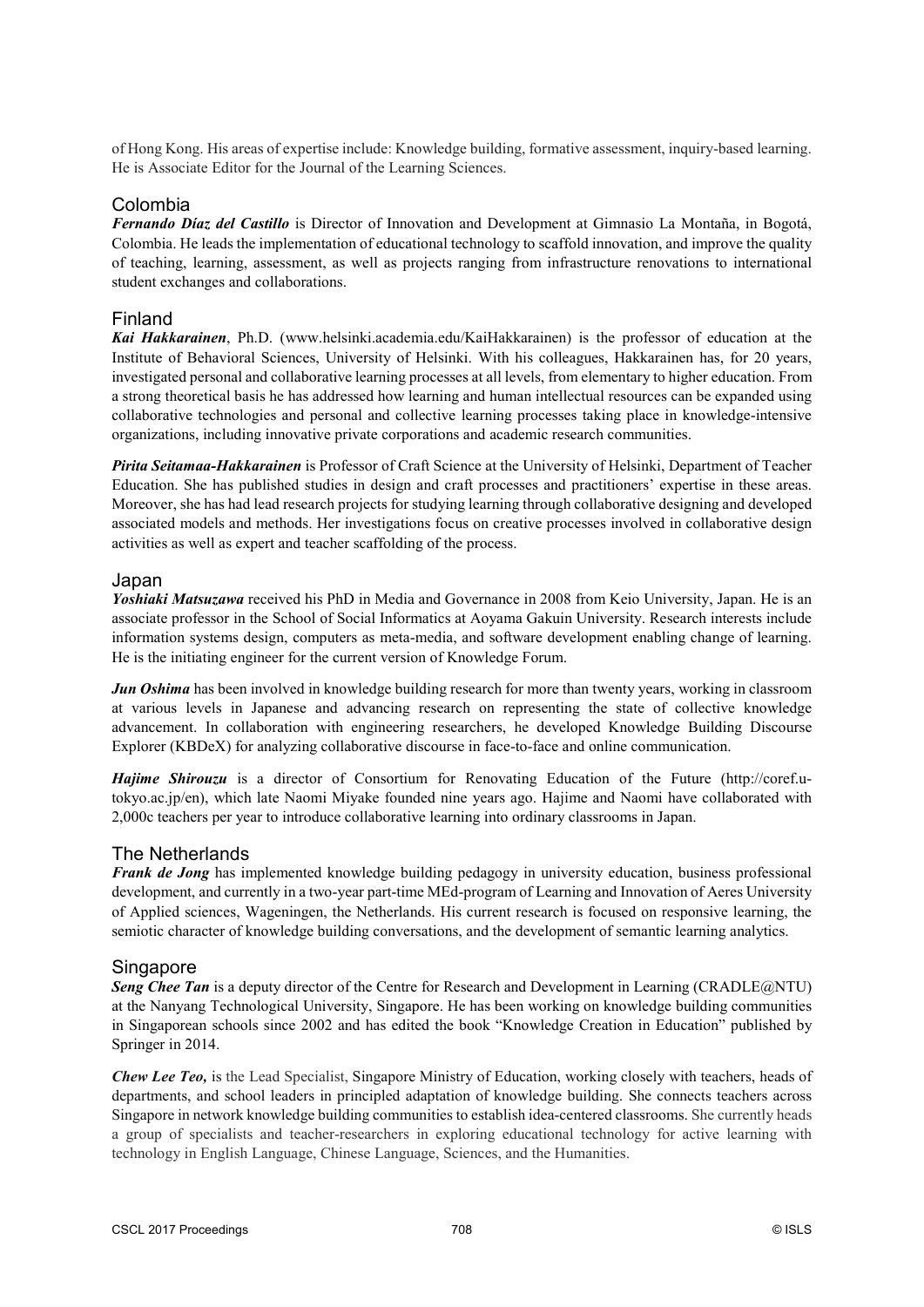of Hong Kong. His areas of expertise include: Knowledge building, formative assessment, inquiry-based learning. He is Associate Editor for the Journal of the Learning Sciences.

# Colombia

*Fernando Díaz del Castillo* is Director of Innovation and Development at Gimnasio La Montaña, in Bogotá, Colombia. He leads the implementation of educational technology to scaffold innovation, and improve the quality of teaching, learning, assessment, as well as projects ranging from infrastructure renovations to international student exchanges and collaborations.

# Finland

*Kai Hakkarainen*, Ph.D. (www.helsinki.academia.edu/KaiHakkarainen) is the professor of education at the Institute of Behavioral Sciences, University of Helsinki. With his colleagues, Hakkarainen has, for 20 years, investigated personal and collaborative learning processes at all levels, from elementary to higher education. From a strong theoretical basis he has addressed how learning and human intellectual resources can be expanded using collaborative technologies and personal and collective learning processes taking place in knowledge-intensive organizations, including innovative private corporations and academic research communities.

*Pirita Seitamaa-Hakkarainen* is Professor of Craft Science at the University of Helsinki, Department of Teacher Education. She has published studies in design and craft processes and practitioners' expertise in these areas. Moreover, she has had lead research projects for studying learning through collaborative designing and developed associated models and methods. Her investigations focus on creative processes involved in collaborative design activities as well as expert and teacher scaffolding of the process.

#### Japan

*Yoshiaki Matsuzawa* received his PhD in Media and Governance in 2008 from Keio University, Japan. He is an associate professor in the School of Social Informatics at Aoyama Gakuin University. Research interests include information systems design, computers as meta-media, and software development enabling change of learning. He is the initiating engineer for the current version of Knowledge Forum.

*Jun Oshima* has been involved in knowledge building research for more than twenty years, working in classroom at various levels in Japanese and advancing research on representing the state of collective knowledge advancement. In collaboration with engineering researchers, he developed Knowledge Building Discourse Explorer (KBDeX) for analyzing collaborative discourse in face-to-face and online communication.

*Hajime Shirouzu* is a director of Consortium for Renovating Education of the Future (http://coref.utokyo.ac.jp/en), which late Naomi Miyake founded nine years ago. Hajime and Naomi have collaborated with 2,000c teachers per year to introduce collaborative learning into ordinary classrooms in Japan.

# The Netherlands

*Frank de Jong* has implemented knowledge building pedagogy in university education, business professional development, and currently in a two-year part-time MEd-program of Learning and Innovation of Aeres University of Applied sciences, Wageningen, the Netherlands. His current research is focused on responsive learning, the semiotic character of knowledge building conversations, and the development of semantic learning analytics.

# Singapore

**Seng Chee Tan** is a deputy director of the Centre for Research and Development in Learning (CRADLE@NTU) at the Nanyang Technological University, Singapore. He has been working on knowledge building communities in Singaporean schools since 2002 and has edited the book "Knowledge Creation in Education" published by Springer in 2014.

*Chew Lee Teo,* is the Lead Specialist, Singapore Ministry of Education, working closely with teachers, heads of departments, and school leaders in principled adaptation of knowledge building. She connects teachers across Singapore in network knowledge building communities to establish idea-centered classrooms. She currently heads a group of specialists and teacher-researchers in exploring educational technology for active learning with technology in English Language, Chinese Language, Sciences, and the Humanities.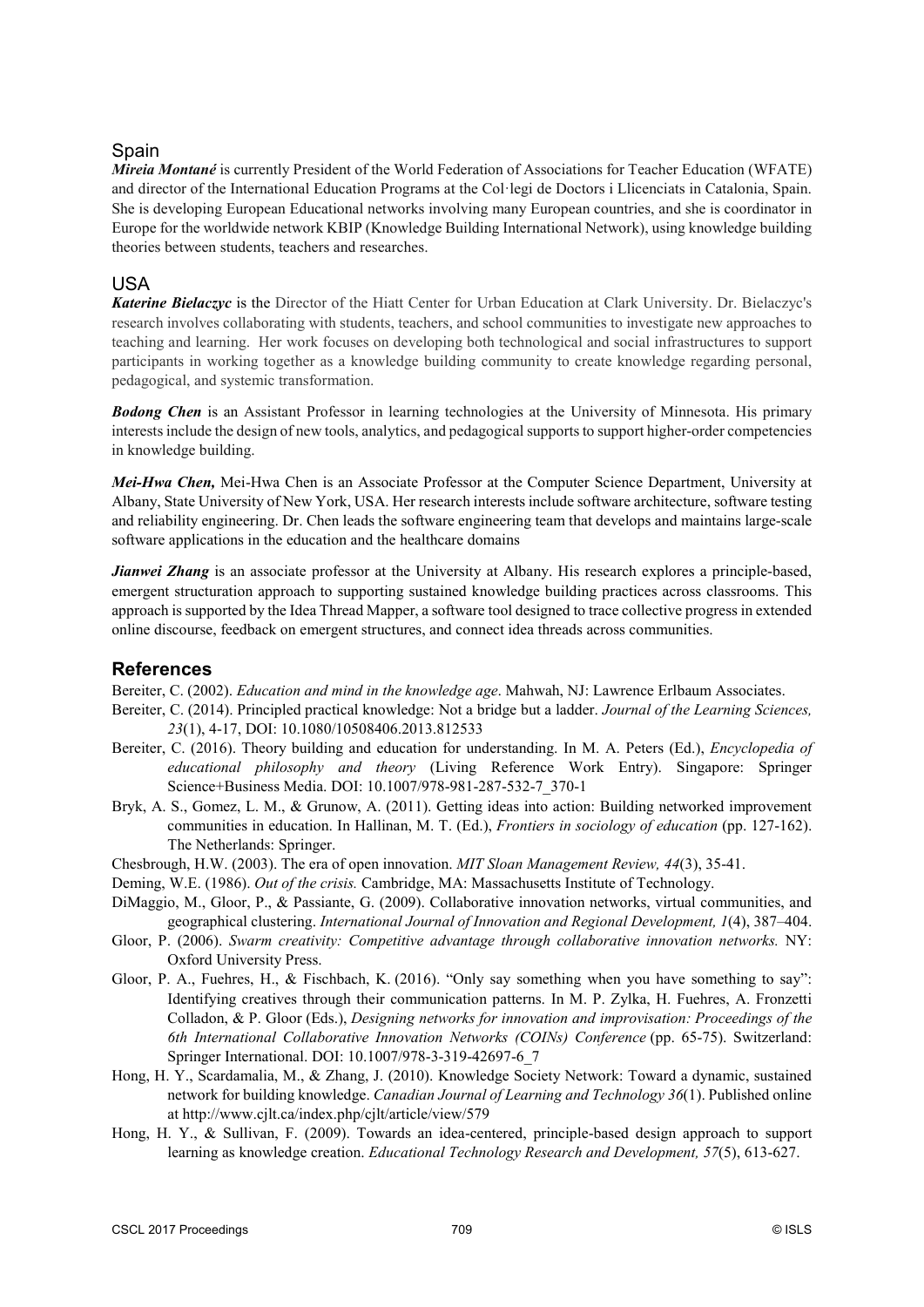# **Spain**

*Mireia Montané* is currently President of the World Federation of Associations for Teacher Education (WFATE) and director of the International Education Programs at the Col·legi de Doctors i Llicenciats in Catalonia, Spain. She is developing European Educational networks involving many European countries, and she is coordinator in Europe for the worldwide network KBIP (Knowledge Building International Network), using knowledge building theories between students, teachers and researches.

### USA

*Katerine Bielaczyc* is the Director of the Hiatt Center for Urban Education at Clark University. Dr. Bielaczyc's research involves collaborating with students, teachers, and school communities to investigate new approaches to teaching and learning. Her work focuses on developing both technological and social infrastructures to support participants in working together as a knowledge building community to create knowledge regarding personal, pedagogical, and systemic transformation.

**Bodong Chen** is an Assistant Professor in learning technologies at the University of Minnesota. His primary interests include the design of new tools, analytics, and pedagogical supports to support higher-order competencies in knowledge building.

*Mei-Hwa Chen,* Mei-Hwa Chen is an Associate Professor at the Computer Science Department, University at Albany, State University of New York, USA. Her research interests include software architecture, software testing and reliability engineering. Dr. Chen leads the software engineering team that develops and maintains large-scale software applications in the education and the healthcare domains

*Jianwei Zhang* is an associate professor at the University at Albany. His research explores a principle-based, emergent structuration approach to supporting sustained knowledge building practices across classrooms. This approach is supported by the Idea Thread Mapper, a software tool designed to trace collective progress in extended online discourse, feedback on emergent structures, and connect idea threads across communities.

# **References**

Bereiter, C. (2002). *Education and mind in the knowledge age*. Mahwah, NJ: Lawrence Erlbaum Associates.

- Bereiter, C. (2014). Principled practical knowledge: Not a bridge but a ladder. *Journal of the Learning Sciences, 23*(1), 4-17, DOI: 10.1080/10508406.2013.812533
- Bereiter, C. (2016). Theory building and education for understanding. In M. A. Peters (Ed.), *Encyclopedia of educational philosophy and theory* (Living Reference Work Entry). Singapore: Springer Science+Business Media. DOI: 10.1007/978-981-287-532-7\_370-1
- Bryk, A. S., Gomez, L. M., & Grunow, A. (2011). Getting ideas into action: Building networked improvement communities in education. In Hallinan, M. T. (Ed.), *Frontiers in sociology of education* (pp. 127-162). The Netherlands: Springer.
- Chesbrough, H.W. (2003). The era of open innovation. *MIT Sloan Management Review, 44*(3), 35-41.
- Deming, W.E. (1986). *Out of the crisis.* Cambridge, MA: Massachusetts Institute of Technology.
- DiMaggio, M., Gloor, P., & Passiante, G. (2009). Collaborative innovation networks, virtual communities, and geographical clustering. *International Journal of Innovation and Regional Development, 1*(4), 387–404.
- Gloor, P. (2006). *Swarm creativity: Competitive advantage through collaborative innovation networks.* NY: Oxford University Press.
- Gloor, P. A., Fuehres, H., & Fischbach, K. (2016). "Only say something when you have something to say": Identifying creatives through their communication patterns. In M. P. Zylka, H. Fuehres, A. Fronzetti Colladon, & P. Gloor (Eds.), *Designing networks for innovation and improvisation: Proceedings of the 6th International Collaborative Innovation Networks (COINs) Conference* (pp. 65-75). Switzerland: Springer International. DOI: 10.1007/978-3-319-42697-6\_7
- Hong, H. Y., Scardamalia, M., & Zhang, J. (2010). Knowledge Society Network: Toward a dynamic, sustained network for building knowledge. *Canadian Journal of Learning and Technology 36*(1). Published online at http://www.cjlt.ca/index.php/cjlt/article/view/579
- Hong, H. Y., & Sullivan, F. (2009). Towards an idea-centered, principle-based design approach to support learning as knowledge creation. *Educational Technology Research and Development, 57*(5), 613-627.